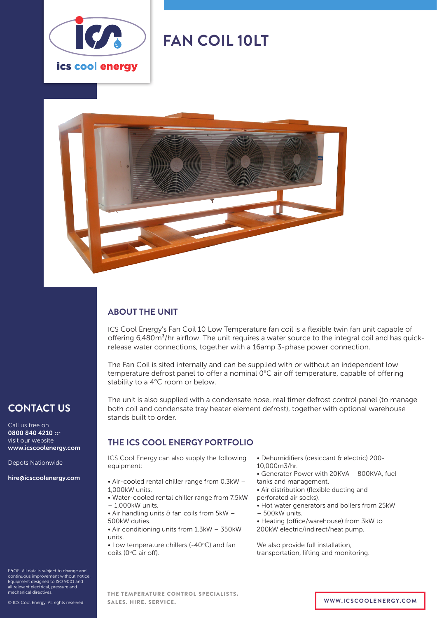

# **FAN COIL 10LT**



## **ABOUT THE UNIT**

ICS Cool Energy's Fan Coil 10 Low Temperature fan coil is a flexible twin fan unit capable of offering  $6,480m<sup>3</sup>/hr$  airflow. The unit requires a water source to the integral coil and has quickrelease water connections, together with a 16amp 3-phase power connection.

The Fan Coil is sited internally and can be supplied with or without an independent low temperature defrost panel to offer a nominal 0°C air off temperature, capable of offering stability to a 4°C room or below.

The unit is also supplied with a condensate hose, real timer defrost control panel (to manage both coil and condensate tray heater element defrost), together with optional warehouse stands built to order.

### **THE ICS COOL ENERGY PORTFOLIO**

ICS Cool Energy can also supply the following equipment:

- Air-cooled rental chiller range from 0.3kW 1,000kW units.
- Water-cooled rental chiller range from 7.5kW – 1,000kW units.
- $\bullet$  Air handling units & fan coils from 5kW -500kW duties.
- Air conditioning units from 1.3kW 350kW units.
- $\bullet$  Low temperature chillers (-40 $\degree$ C) and fan coils (0°C air off).
- Dehumidifiers (desiccant & electric) 200-
- 10,000m3/hr.
- Generator Power with 20KVA 800KVA, fuel tanks and management.
- Air distribution (flexible ducting and
- perforated air socks).
- Hot water generators and boilers from 25kW
- 500kW units.
- Heating (office/warehouse) from 3kW to 200kW electric/indirect/heat pump.

We also provide full installation, transportation, lifting and monitoring.

E&OE. All data is subject to change and continuous improvement without notice. Equipment designed to ISO 9001 and all relevant electrical, pressure and mechanical directives.

**CONTACT US**

www.icscoolenergy.com

hire@icscoolenergy.com

Depots Nationwide

Call us free on 0800 840 4210 or visit our website

THE TEMPERATURE CONTROL SPECIALISTS. SALES. HIRE. SERVICE. **WWW.ICSCOOLENERGY.COM**